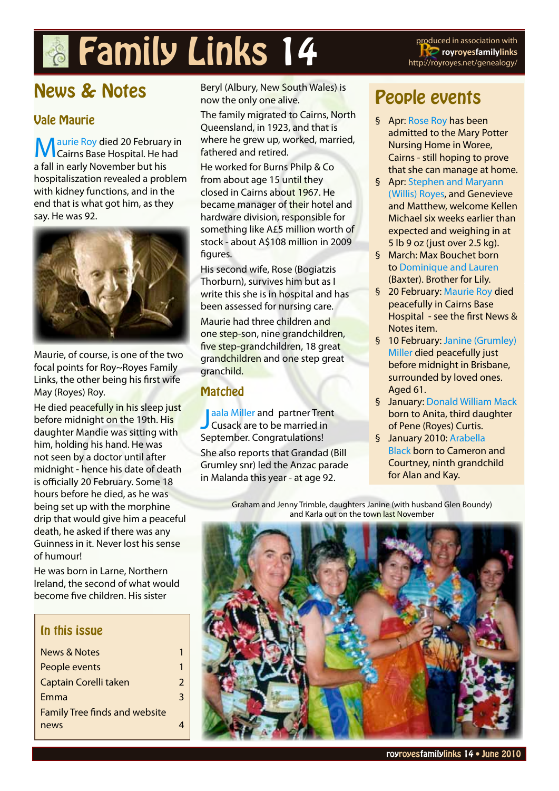# **Family Links 14** produced in association with

**royroyesfamilylinks** http://royroyes.net/genealogy/

# News & Notes

#### Vale Maurie

**N** aurie Roy died 20 February in Cairns Base Hospital. He had a fall in early November but his hospitaliszation revealed a problem with kidney functions, and in the end that is what got him, as they say. He was 92.



Maurie, of course, is one of the two focal points for Roy~Royes Family Links, the other being his first wife May (Royes) Roy.

He died peacefully in his sleep just before midnight on the 19th. His daughter Mandie was sitting with him, holding his hand. He was not seen by a doctor until after midnight - hence his date of death is officially 20 February. Some 18 hours before he died, as he was being set up with the morphine drip that would give him a peaceful death, he asked if there was any Guinness in it. Never lost his sense of humour!

He was born in Larne, Northern Ireland, the second of what would become five children. His sister

#### In this issue

| <b>News &amp; Notes</b>              |   |
|--------------------------------------|---|
| People events                        | 1 |
| Captain Corelli taken                | 2 |
| Emma                                 | 3 |
| <b>Family Tree finds and website</b> |   |
| news                                 |   |
|                                      |   |

Beryl (Albury, New South Wales) is now the only one alive.

The family migrated to Cairns, North Queensland, in 1923, and that is where he grew up, worked, married, fathered and retired.

He worked for Burns Philp & Co from about age 15 until they closed in Cairns about 1967. He became manager of their hotel and hardware division, responsible for something like A£5 million worth of stock - about A\$108 million in 2009 figures.

His second wife, Rose (Bogiatzis Thorburn), survives him but as I write this she is in hospital and has been assessed for nursing care. Maurie had three children and one step-son, nine grandchildren, five step-grandchildren, 18 great grandchildren and one step great granchild.

#### Matched

[J](Jaala Kassandra Miller to Trent  Cusack)aala Miller and partner Tren<br>Cusack are to be married in [aala Miller](Jaala Kassandra Miller to Trent  Cusack) and partner Trent September. Congratulations! She also reports that Grandad (Bill Grumley snr) led the Anzac parade in Malanda this year - at age 92.

## People events

- § Apr: [Rose Roy](http://royroyes.net/genealogy/getperson.php?personID=I72&tree=rr_tree) has been admitted to the Mary Potter Nursing Home in Woree, Cairns - still hoping to prove that she can manage at home.
- § Apr: [Stephen and Maryann](http://royroyes.net/genealogy/familygroup.php?familyID=F521&tree=rr_tree)  [\(Willis\) Royes](http://royroyes.net/genealogy/familygroup.php?familyID=F521&tree=rr_tree), and Genevieve and Matthew, welcome Kellen Michael six weeks earlier than expected and weighing in at 5 lb 9 oz (just over 2.5 kg).
- § March: Max Bouchet born to [Dominique and Lauren](http://royroyes.net/genealogy/familygroup.php?familyID=F1195&tree=rr_tree) (Baxter). Brother for Lily.
- § 20 February: <Maurie Roy> died peacefully in Cairns Base Hospital - see the first News & Notes item.
- § 10 February: [Janine \(Grumley\)](http://royroyes.net/genealogy/getperson.php?personID=I363&tree=rr_tree)  [Miller d](http://royroyes.net/genealogy/getperson.php?personID=I363&tree=rr_tree)ied peacefully just before midnight in Brisbane, surrounded by loved ones. Aged 61.
- § January: [Donald William Mack](http://royroyes.net/genealogy/getperson.php?personID=I1949&tree=rr_tree) born to Anita, third daughter of Pene (Royes) Curtis.
- § January 2010: [Arabella](http://royroyes.net/genealogy/getperson.php?personID=I541&tree=rr_tree)  [Black](http://royroyes.net/genealogy/getperson.php?personID=I541&tree=rr_tree) born to Cameron and Courtney, ninth grandchild for Alan and Kay.

Graham and Jenny Trimble, daughters Janine (with husband Glen Boundy) and Karla out on the town last November

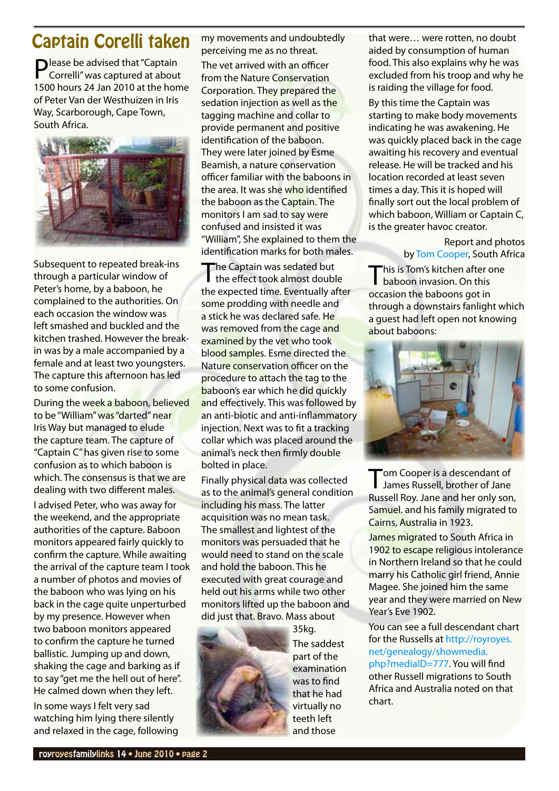## <span id="page-1-0"></span>Captain Corelli taken

**D** lease be advised that "Captain Correlli" was captured at about 1500 hours 24 Jan 2010 at the home of Peter Van der Westhuizen in Iris Way, Scarborough, Cape Town, South Africa.



Subsequent to repeated break-ins through a particular window of Peter's home, by a baboon, he complained to the authorities. On each occasion the window was left smashed and buckled and the kitchen trashed. However the breakin was by a male accompanied by a female and at least two youngsters. The capture this afternoon has led to some confusion.

During the week a baboon, believed to be "William" was "darted" near Iris Way but managed to elude the capture team. The capture of "Captain C" has given rise to some confusion as to which baboon is which. The consensus is that we are dealing with two different males.

I advised Peter, who was away for the weekend, and the appropriate authorities of the capture. Baboon monitors appeared fairly quickly to confirm the capture. While awaiting the arrival of the capture team I took a number of photos and movies of the baboon who was lying on his back in the cage quite unperturbed by my presence. However when two baboon monitors appeared to confirm the capture he turned ballistic. Jumping up and down, shaking the cage and barking as if to say "get me the hell out of here". He calmed down when they left.

In some ways I felt very sad watching him lying there silently and relaxed in the cage, following my movements and undoubtedly perceiving me as no threat.

The vet arrived with an officer from the Nature Conservation Corporation. They prepared the sedation injection as well as the tagging machine and collar to provide permanent and positive identification of the baboon. They were later joined by Esme Beamish, a nature conservation officer familiar with the baboons in the area. It was she who identified the baboon as the Captain. The monitors I am sad to say were confused and insisted it was "William", She explained to them the identification marks for both males.

The Captain was sedated but the effect took almost double the expected time. Eventually after some prodding with needle and a stick he was declared safe. He was removed from the cage and examined by the vet who took blood samples. Esme directed the Nature conservation officer on the procedure to attach the tag to the baboon's ear which he did quickly and effectively. This was followed by an anti-biotic and anti-inflammatory injection. Next was to fit a tracking collar which was placed around the animal's neck then firmly double bolted in place.

Finally physical data was collected as to the animal's general condition including his mass. The latter acquisition was no mean task. The smallest and lightest of the monitors was persuaded that he would need to stand on the scale and hold the baboon. This he executed with great courage and held out his arms while two other monitors lifted up the baboon and did just that. Bravo. Mass about



35kg. The saddest part of the examination was to find that he had virtually no teeth left and those

that were… were rotten, no doubt aided by consumption of human food. This also explains why he was excluded from his troop and why he is raiding the village for food.

By this time the Captain was starting to make body movements indicating he was awakening. He was quickly placed back in the cage awaiting his recovery and eventual release. He will be tracked and his location recorded at least seven times a day. This it is hoped will finally sort out the local problem of which baboon, William or Captain C, is the greater havoc creator.

> Report and photos by [Tom Cooper,](http://royroyes.net/genealogy/getperson.php?personID=I198&tree=rr_tree) South Africa

This is Tom's kitchen after one baboon invasion. On this occasion the baboons got in through a downstairs fanlight which a guest had left open not knowing about baboons:



Tom Cooper is a descendant of James Russell, brother of Jane Russell Roy. Jane and her only son, Samuel. and his family migrated to Cairns, Australia in 1923.

James migrated to South Africa in 1902 to escape religious intolerance in Northern Ireland so that he could marry his Catholic girl friend, Annie Magee. She joined him the same year and they were married on New Year's Eve 1902.

You can see a full descendant chart for the Russells at [http://royroyes.](http://royroyes.net/genealogy/showmedia.php?mediaID=777) [net/genealogy/showmedia.](http://royroyes.net/genealogy/showmedia.php?mediaID=777) [php?mediaID=777](http://royroyes.net/genealogy/showmedia.php?mediaID=777). You will find other Russell migrations to South Africa and Australia noted on that chart.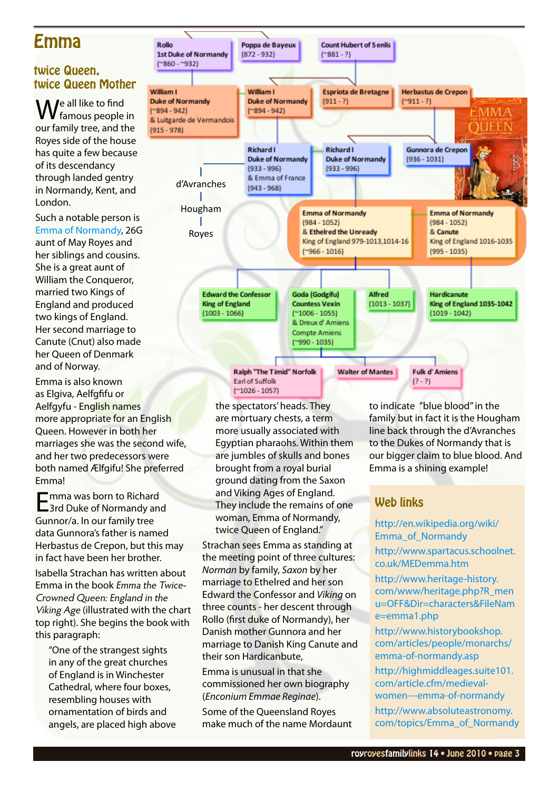## <span id="page-2-0"></span>Emma

#### twice Queen, twice Queen Mother

M le all like to find famous people in our family tree, and the Royes side of the house has quite a few because of its descendancy through landed gentry in Normandy, Kent, and London.

Such a notable person is [Emma of Normandy](http://royroyes.net/genealogy/getperson.php?personID=I2723&tree=rr_tree), 26G aunt of May Royes and her siblings and cousins. She is a great aunt of William the Conqueror, married two Kings of England and produced two kings of England. Her second marriage to Canute (Cnut) also made her Queen of Denmark and of Norway.

Emma is also known as Elgiva, Aelfgfifu or Aelfgyfu - English names more appropriate for an English Queen. However in both her marriages she was the second wife, and her two predecessors were both named Ælfgifu! She preferred Emma!

Emma was born to Richard 3rd Duke of Normandy and Gunnor/a. In our family tree data Gunnora's father is named Herbastus de Crepon, but this may in fact have been her brother.

Isabella Strachan has written about Emma in the book Emma the Twice-Crowned Queen: England in the Viking Age (illustrated with the chart top right). She begins the book with this paragraph:

"One of the strangest sights in any of the great churches of England is in Winchester Cathedral, where four boxes, resembling houses with ornamentation of birds and angels, are placed high above



the spectators' heads. They are mortuary chests, a term more usually associated with Egyptian pharaohs. Within them are jumbles of skulls and bones brought from a royal burial ground dating from the Saxon and Viking Ages of England. They include the remains of one woman, Emma of Normandy, twice Queen of England."

Strachan sees Emma as standing at the meeting point of three cultures: *Norman* by family, *Saxon* by her marriage to Ethelred and her son Edward the Confessor and *Viking* on three counts - her descent through Rollo (first duke of Normandy), her Danish mother Gunnora and her marriage to Danish King Canute and their son Hardicanbute,

Emma is unusual in that she commissioned her own biography (*Enconium Emmae Reginae*).

Some of the Queensland Royes make much of the name Mordaunt to indicate "blue blood" in the family but in fact it is the Hougham line back through the d'Avranches to the Dukes of Normandy that is our bigger claim to blue blood. And Emma is a shining example!

#### Web links

[http://en.wikipedia.org/wiki/](http://en.wikipedia.org/wiki/Emma_of_Normandy) [Emma\\_of\\_Normandy](http://en.wikipedia.org/wiki/Emma_of_Normandy)

[http://www.spartacus.schoolnet.](http://www.spartacus.schoolnet.co.uk/MEDemma.htm) [co.uk/MEDemma.htm](http://www.spartacus.schoolnet.co.uk/MEDemma.htm)

[http://www.heritage-history.](http://www.heritage-history.com/www/heritage.php?R_menu=OFF&Dir=characters&FileName=emma1.php ) [com/www/heritage.php?R\\_men](http://www.heritage-history.com/www/heritage.php?R_menu=OFF&Dir=characters&FileName=emma1.php ) [u=OFF&Dir=characters&FileNam](http://www.heritage-history.com/www/heritage.php?R_menu=OFF&Dir=characters&FileName=emma1.php ) [e=emma1.php](http://www.heritage-history.com/www/heritage.php?R_menu=OFF&Dir=characters&FileName=emma1.php )

[http://www.historybookshop.](http://www.historybookshop.com/articles/people/monarchs/emma-of-normandy.asp ) [com/articles/people/monarchs/](http://www.historybookshop.com/articles/people/monarchs/emma-of-normandy.asp ) [emma-of-normandy.asp](http://www.historybookshop.com/articles/people/monarchs/emma-of-normandy.asp )

[http://highmiddleages.suite101.](http://highmiddleages.suite101.com/article.cfm/medieval-women---emma-of-normandy) [com/article.cfm/medieval](http://highmiddleages.suite101.com/article.cfm/medieval-women---emma-of-normandy)[women---emma-of-normandy](http://highmiddleages.suite101.com/article.cfm/medieval-women---emma-of-normandy)

[http://www.absoluteastronomy.](http://www.absoluteastronomy.com/topics/Emma_of_Normandy) [com/topics/Emma\\_of\\_Normandy](http://www.absoluteastronomy.com/topics/Emma_of_Normandy)